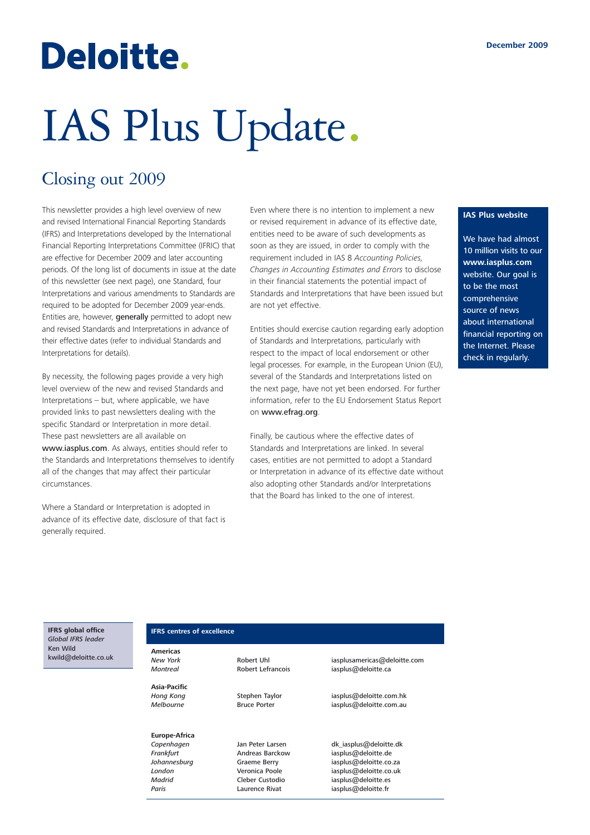## Deloitte.

# IAS Plus Update.

### Closing out 2009

This newsletter provides a high level overview of new and revised International Financial Reporting Standards (IFRS) and Interpretations developed by the International Financial Reporting Interpretations Committee (IFRIC) that are effective for December 2009 and later accounting periods. Of the long list of documents in issue at the date of this newsletter (see next page), one Standard, four Interpretations and various amendments to Standards are required to be adopted for December 2009 year-ends. Entities are, however, generally permitted to adopt new and revised Standards and Interpretations in advance of their effective dates (refer to individual Standards and Interpretations for details).

By necessity, the following pages provide a very high level overview of the new and revised Standards and Interpretations – but, where applicable, we have provided links to past newsletters dealing with the specific Standard or Interpretation in more detail. These past newsletters are all available on www.iasplus.com. As always, entities should refer to the Standards and Interpretations themselves to identify all of the changes that may affect their particular circumstances.

Where a Standard or Interpretation is adopted in advance of its effective date, disclosure of that fact is generally required.

Even where there is no intention to implement a new or revised requirement in advance of its effective date, entities need to be aware of such developments as soon as they are issued, in order to comply with the requirement included in IAS 8 *Accounting Policies, Changes in Accounting Estimates and Errors* to disclose in their financial statements the potential impact of Standards and Interpretations that have been issued but are not yet effective.

Entities should exercise caution regarding early adoption of Standards and Interpretations, particularly with respect to the impact of local endorsement or other legal processes. For example, in the European Union (EU), several of the Standards and Interpretations listed on the next page, have not yet been endorsed. For further information, refer to the EU Endorsement Status Report on www.efrag.org.

Finally, be cautious where the effective dates of Standards and Interpretations are linked. In several cases, entities are not permitted to adopt a Standard or Interpretation in advance of its effective date without also adopting other Standards and/or Interpretations that the Board has linked to the one of interest.

#### **IAS Plus website**

We have had almost 10 million visits to our **www.iasplus.com** website. Our goal is to be the most comprehensive source of news about international financial reporting on the Internet. Please check in regularly.

**IFRS global office** *Global IFRS leader* Ken Wild kwild@deloitte.co.uk

#### **IFRS centres of excellence**

**Americas**

**Asia-Pacific**

**Europe-Africa**

**Jan Peter Larsen dk\_iasplus@deloitte.dk** 

**New York Robert Uhl** iasplusamericas@deloitte.com<br>
Montreal **Robert Lefrancois** iasplus@deloitte.ca iasplus@deloitte.ca

**Hong Kong** Stephen Taylor iasplus@deloitte.com.hk<br>Melbourne **implements** Bruce Porter iasplus@deloitte.com.au iasplus@deloitte.com.au

*Frankfurt* Andreas Barckow iasplus@deloitte.de *Johannesburg* Graeme Berry iasplus@deloitte.co.za **London Communica Poole** iasplus@deloitte.co.uk<br>Madrid **in Cleber Custodio** iasplus@deloitte.es **Cleber Custodio** iasplus@deloitte.es<br>
Laurence Rivat iasplus@deloitte.fr *Paris* Laurence Rivat iasplus@deloitte.fr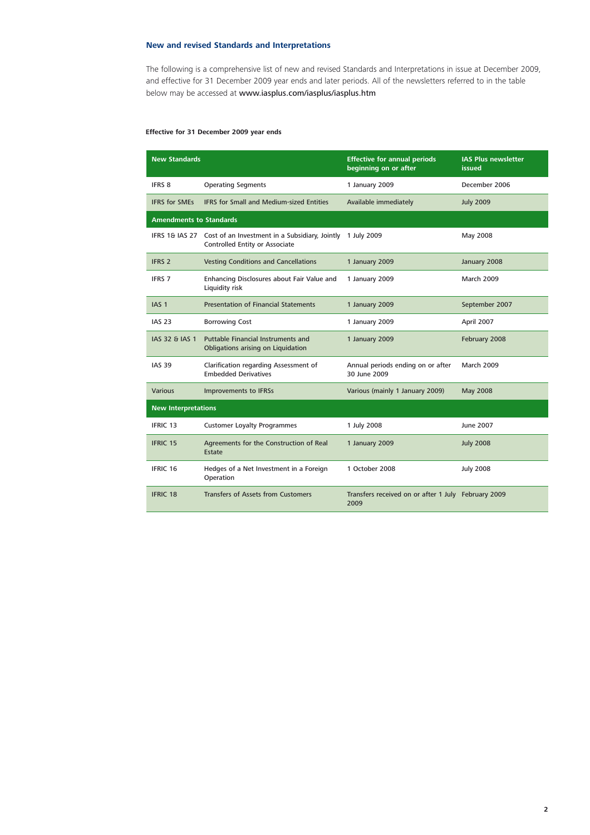#### **New and revised Standards and Interpretations**

The following is a comprehensive list of new and revised Standards and Interpretations in issue at December 2009, and effective for 31 December 2009 year ends and later periods. All of the newsletters referred to in the table below may be accessed at www.iasplus.com/iasplus/iasplus.htm

#### **Effective for 31 December 2009 year ends**

| <b>New Standards</b>           |                                                                                                             | <b>Effective for annual periods</b><br>beginning on or after | <b>IAS Plus newsletter</b><br><b>issued</b> |  |
|--------------------------------|-------------------------------------------------------------------------------------------------------------|--------------------------------------------------------------|---------------------------------------------|--|
| <b>IFRS 8</b>                  | <b>Operating Segments</b>                                                                                   | 1 January 2009                                               | December 2006                               |  |
| <b>IFRS for SMEs</b>           | <b>IFRS for Small and Medium-sized Entities</b>                                                             | Available immediately                                        | <b>July 2009</b>                            |  |
| <b>Amendments to Standards</b> |                                                                                                             |                                                              |                                             |  |
|                                | IFRS 1& IAS 27 Cost of an Investment in a Subsidiary, Jointly 1 July 2009<br>Controlled Entity or Associate |                                                              | May 2008                                    |  |
| <b>IFRS 2</b>                  | <b>Vesting Conditions and Cancellations</b>                                                                 | 1 January 2009                                               | January 2008                                |  |
| <b>IFRS 7</b>                  | Enhancing Disclosures about Fair Value and<br>Liquidity risk                                                | 1 January 2009                                               | <b>March 2009</b>                           |  |
| IAS <sub>1</sub>               | <b>Presentation of Financial Statements</b>                                                                 | 1 January 2009                                               | September 2007                              |  |
| <b>IAS 23</b>                  | <b>Borrowing Cost</b>                                                                                       | 1 January 2009                                               | April 2007                                  |  |
| IAS 32 & IAS 1                 | Puttable Financial Instruments and<br>Obligations arising on Liquidation                                    | 1 January 2009                                               | February 2008                               |  |
| <b>IAS 39</b>                  | Clarification regarding Assessment of<br><b>Embedded Derivatives</b>                                        | Annual periods ending on or after<br>30 June 2009            | <b>March 2009</b>                           |  |
| <b>Various</b>                 | <b>Improvements to IFRSs</b>                                                                                | Various (mainly 1 January 2009)                              | <b>May 2008</b>                             |  |
| <b>New Interpretations</b>     |                                                                                                             |                                                              |                                             |  |
| <b>IFRIC 13</b>                | <b>Customer Loyalty Programmes</b>                                                                          | 1 July 2008                                                  | June 2007                                   |  |
| <b>IFRIC 15</b>                | Agreements for the Construction of Real<br>Estate                                                           | 1 January 2009                                               | <b>July 2008</b>                            |  |
| <b>IFRIC 16</b>                | Hedges of a Net Investment in a Foreign<br>Operation                                                        | 1 October 2008                                               | <b>July 2008</b>                            |  |
| <b>IFRIC 18</b>                | <b>Transfers of Assets from Customers</b>                                                                   | Transfers received on or after 1 July February 2009<br>2009  |                                             |  |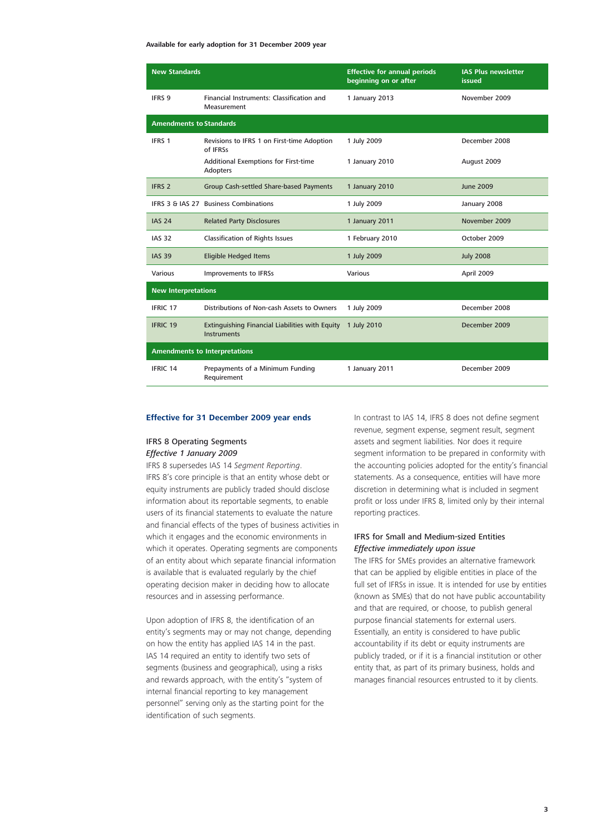#### **Available for early adoption for 31 December 2009 year**

| <b>New Standards</b>                 |                                                                       | <b>Effective for annual periods</b><br>beginning on or after | <b>IAS Plus newsletter</b><br><b>issued</b> |  |
|--------------------------------------|-----------------------------------------------------------------------|--------------------------------------------------------------|---------------------------------------------|--|
| IFRS 9                               | Financial Instruments: Classification and<br>Measurement              | 1 January 2013                                               | November 2009                               |  |
| <b>Amendments to Standards</b>       |                                                                       |                                                              |                                             |  |
| IFRS 1                               | Revisions to IFRS 1 on First-time Adoption<br>of IFRSs                | 1 July 2009                                                  | December 2008                               |  |
|                                      | Additional Exemptions for First-time<br>Adopters                      | 1 January 2010                                               | August 2009                                 |  |
| <b>IFRS 2</b>                        | Group Cash-settled Share-based Payments                               | 1 January 2010                                               | June 2009                                   |  |
|                                      | IFRS 3 & IAS 27 Business Combinations                                 | 1 July 2009                                                  | January 2008                                |  |
| <b>IAS 24</b>                        | <b>Related Party Disclosures</b>                                      | 1 January 2011                                               | November 2009                               |  |
| <b>IAS 32</b>                        | <b>Classification of Rights Issues</b>                                | 1 February 2010                                              | October 2009                                |  |
| <b>IAS 39</b>                        | <b>Eligible Hedged Items</b>                                          | 1 July 2009                                                  | <b>July 2008</b>                            |  |
| Various                              | Improvements to IFRSs                                                 | Various                                                      | April 2009                                  |  |
| <b>New Interpretations</b>           |                                                                       |                                                              |                                             |  |
| <b>IFRIC 17</b>                      | Distributions of Non-cash Assets to Owners                            | 1 July 2009                                                  | December 2008                               |  |
| <b>IFRIC 19</b>                      | Extinguishing Financial Liabilities with Equity<br><b>Instruments</b> | 1 July 2010                                                  | December 2009                               |  |
| <b>Amendments to Interpretations</b> |                                                                       |                                                              |                                             |  |
| IFRIC 14                             | Prepayments of a Minimum Funding<br>Requirement                       | 1 January 2011                                               | December 2009                               |  |

#### **Effective for 31 December 2009 year ends**

#### IFRS 8 Operating Segments *Effective 1 January 2009*

IFRS 8 supersedes IAS 14 *Segment Reporting*. IFRS 8's core principle is that an entity whose debt or equity instruments are publicly traded should disclose information about its reportable segments, to enable users of its financial statements to evaluate the nature and financial effects of the types of business activities in which it engages and the economic environments in which it operates. Operating segments are components of an entity about which separate financial information is available that is evaluated regularly by the chief operating decision maker in deciding how to allocate resources and in assessing performance.

Upon adoption of IFRS 8, the identification of an entity's segments may or may not change, depending on how the entity has applied IAS 14 in the past. IAS 14 required an entity to identify two sets of segments (business and geographical), using a risks and rewards approach, with the entity's "system of internal financial reporting to key management personnel" serving only as the starting point for the identification of such segments.

In contrast to IAS 14, IFRS 8 does not define segment revenue, segment expense, segment result, segment assets and segment liabilities. Nor does it require segment information to be prepared in conformity with the accounting policies adopted for the entity's financial statements. As a consequence, entities will have more discretion in determining what is included in segment profit or loss under IFRS 8, limited only by their internal reporting practices.

#### IFRS for Small and Medium-sized Entities *Effective immediately upon issue*

The IFRS for SMEs provides an alternative framework that can be applied by eligible entities in place of the full set of IFRSs in issue. It is intended for use by entities (known as SMEs) that do not have public accountability and that are required, or choose, to publish general purpose financial statements for external users. Essentially, an entity is considered to have public accountability if its debt or equity instruments are publicly traded, or if it is a financial institution or other entity that, as part of its primary business, holds and manages financial resources entrusted to it by clients.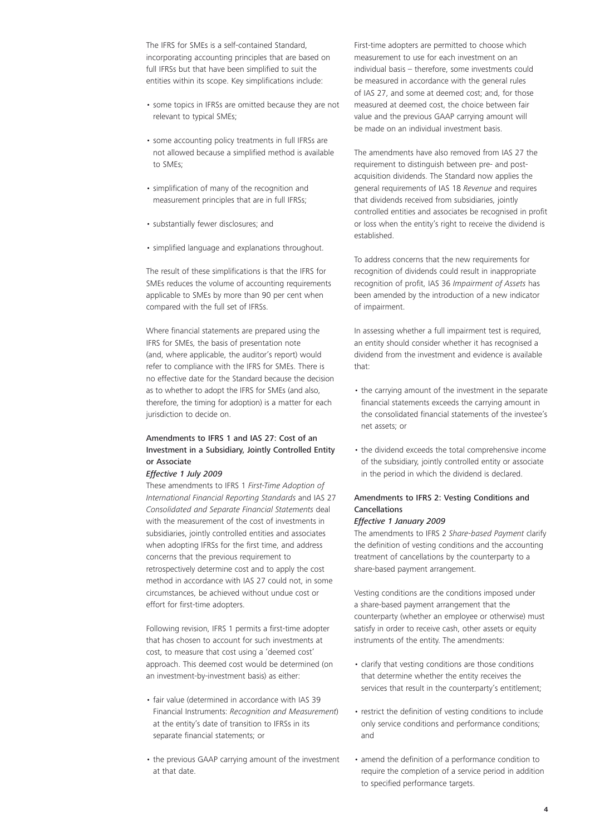The IFRS for SMEs is a self-contained Standard, incorporating accounting principles that are based on full IFRSs but that have been simplified to suit the entities within its scope. Key simplifications include:

- some topics in IFRSs are omitted because they are not relevant to typical SMEs;
- some accounting policy treatments in full IFRSs are not allowed because a simplified method is available to SMEs;
- simplification of many of the recognition and measurement principles that are in full IFRSs;
- substantially fewer disclosures; and
- simplified language and explanations throughout.

The result of these simplifications is that the IFRS for SMEs reduces the volume of accounting requirements applicable to SMEs by more than 90 per cent when compared with the full set of IFRSs.

Where financial statements are prepared using the IFRS for SMEs, the basis of presentation note (and, where applicable, the auditor's report) would refer to compliance with the IFRS for SMEs. There is no effective date for the Standard because the decision as to whether to adopt the IFRS for SMEs (and also, therefore, the timing for adoption) is a matter for each jurisdiction to decide on.

#### Amendments to IFRS 1 and IAS 27: Cost of an Investment in a Subsidiary, Jointly Controlled Entity or Associate

#### *Effective 1 July 2009*

These amendments to IFRS 1 *First-Time Adoption of International Financial Reporting Standards* and IAS 27 *Consolidated and Separate Financial Statements* deal with the measurement of the cost of investments in subsidiaries, jointly controlled entities and associates when adopting IFRSs for the first time, and address concerns that the previous requirement to retrospectively determine cost and to apply the cost method in accordance with IAS 27 could not, in some circumstances, be achieved without undue cost or effort for first-time adopters.

Following revision, IFRS 1 permits a first-time adopter that has chosen to account for such investments at cost, to measure that cost using a 'deemed cost' approach. This deemed cost would be determined (on an investment-by-investment basis) as either:

- fair value (determined in accordance with IAS 39 Financial Instruments: *Recognition and Measurement*) at the entity's date of transition to IFRSs in its separate financial statements; or
- the previous GAAP carrying amount of the investment at that date.

First-time adopters are permitted to choose which measurement to use for each investment on an individual basis – therefore, some investments could be measured in accordance with the general rules of IAS 27, and some at deemed cost; and, for those measured at deemed cost, the choice between fair value and the previous GAAP carrying amount will be made on an individual investment basis.

The amendments have also removed from IAS 27 the requirement to distinguish between pre- and postacquisition dividends. The Standard now applies the general requirements of IAS 18 *Revenue* and requires that dividends received from subsidiaries, jointly controlled entities and associates be recognised in profit or loss when the entity's right to receive the dividend is established.

To address concerns that the new requirements for recognition of dividends could result in inappropriate recognition of profit, IAS 36 *Impairment of Assets* has been amended by the introduction of a new indicator of impairment.

In assessing whether a full impairment test is required, an entity should consider whether it has recognised a dividend from the investment and evidence is available that:

- the carrying amount of the investment in the separate financial statements exceeds the carrying amount in the consolidated financial statements of the investee's net assets; or
- the dividend exceeds the total comprehensive income of the subsidiary, jointly controlled entity or associate in the period in which the dividend is declared.

#### Amendments to IFRS 2: Vesting Conditions and Cancellations

#### *Effective 1 January 2009*

The amendments to IFRS 2 *Share-based Payment* clarify the definition of vesting conditions and the accounting treatment of cancellations by the counterparty to a share-based payment arrangement.

Vesting conditions are the conditions imposed under a share-based payment arrangement that the counterparty (whether an employee or otherwise) must satisfy in order to receive cash, other assets or equity instruments of the entity. The amendments:

- clarify that vesting conditions are those conditions that determine whether the entity receives the services that result in the counterparty's entitlement;
- restrict the definition of vesting conditions to include only service conditions and performance conditions; and
- amend the definition of a performance condition to require the completion of a service period in addition to specified performance targets.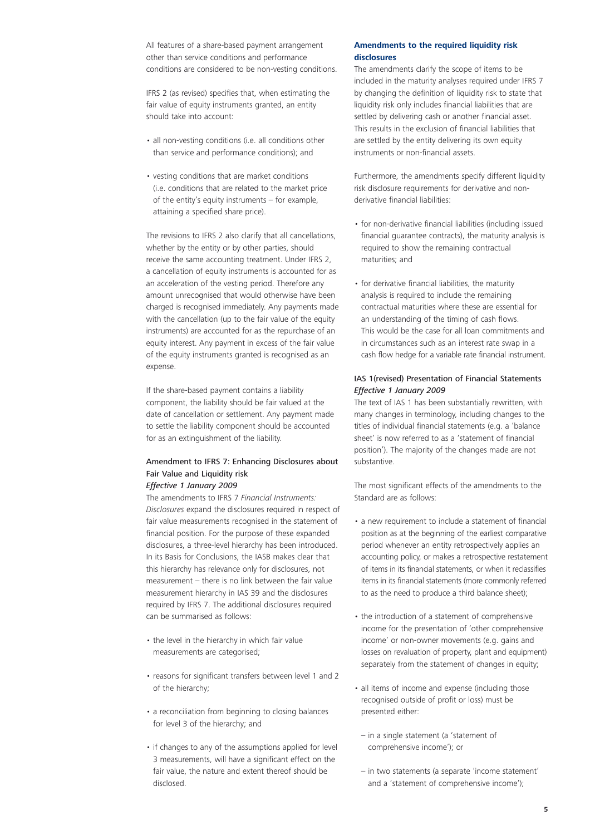All features of a share-based payment arrangement other than service conditions and performance conditions are considered to be non-vesting conditions.

IFRS 2 (as revised) specifies that, when estimating the fair value of equity instruments granted, an entity should take into account:

- all non-vesting conditions (i.e. all conditions other than service and performance conditions); and
- vesting conditions that are market conditions (i.e. conditions that are related to the market price of the entity's equity instruments – for example, attaining a specified share price).

The revisions to IFRS 2 also clarify that all cancellations, whether by the entity or by other parties, should receive the same accounting treatment. Under IFRS 2, a cancellation of equity instruments is accounted for as an acceleration of the vesting period. Therefore any amount unrecognised that would otherwise have been charged is recognised immediately. Any payments made with the cancellation (up to the fair value of the equity instruments) are accounted for as the repurchase of an equity interest. Any payment in excess of the fair value of the equity instruments granted is recognised as an expense.

If the share-based payment contains a liability component, the liability should be fair valued at the date of cancellation or settlement. Any payment made to settle the liability component should be accounted for as an extinguishment of the liability.

#### Amendment to IFRS 7: Enhancing Disclosures about Fair Value and Liquidity risk *Effective 1 January 2009*

The amendments to IFRS 7 *Financial Instruments: Disclosures* expand the disclosures required in respect of fair value measurements recognised in the statement of financial position. For the purpose of these expanded disclosures, a three-level hierarchy has been introduced. In its Basis for Conclusions, the IASB makes clear that this hierarchy has relevance only for disclosures, not measurement – there is no link between the fair value measurement hierarchy in IAS 39 and the disclosures required by IFRS 7. The additional disclosures required can be summarised as follows:

- the level in the hierarchy in which fair value measurements are categorised;
- reasons for significant transfers between level 1 and 2 of the hierarchy;
- a reconciliation from beginning to closing balances for level 3 of the hierarchy; and
- if changes to any of the assumptions applied for level 3 measurements, will have a significant effect on the fair value, the nature and extent thereof should be disclosed.

#### **Amendments to the required liquidity risk disclosures**

The amendments clarify the scope of items to be included in the maturity analyses required under IFRS 7 by changing the definition of liquidity risk to state that liquidity risk only includes financial liabilities that are settled by delivering cash or another financial asset. This results in the exclusion of financial liabilities that are settled by the entity delivering its own equity instruments or non-financial assets.

Furthermore, the amendments specify different liquidity risk disclosure requirements for derivative and nonderivative financial liabilities:

- for non-derivative financial liabilities (including issued financial guarantee contracts), the maturity analysis is required to show the remaining contractual maturities; and
- for derivative financial liabilities, the maturity analysis is required to include the remaining contractual maturities where these are essential for an understanding of the timing of cash flows. This would be the case for all loan commitments and in circumstances such as an interest rate swap in a cash flow hedge for a variable rate financial instrument.

#### IAS 1(revised) Presentation of Financial Statements *Effective 1 January 2009*

The text of IAS 1 has been substantially rewritten, with many changes in terminology, including changes to the titles of individual financial statements (e.g. a 'balance sheet' is now referred to as a 'statement of financial position'). The majority of the changes made are not substantive.

The most significant effects of the amendments to the Standard are as follows:

- a new requirement to include a statement of financial position as at the beginning of the earliest comparative period whenever an entity retrospectively applies an accounting policy, or makes a retrospective restatement of items in its financial statements, or when it reclassifies items in its financial statements (more commonly referred to as the need to produce a third balance sheet);
- the introduction of a statement of comprehensive income for the presentation of 'other comprehensive income' or non-owner movements (e.g. gains and losses on revaluation of property, plant and equipment) separately from the statement of changes in equity;
- all items of income and expense (including those recognised outside of profit or loss) must be presented either:
	- in a single statement (a 'statement of comprehensive income'); or
	- in two statements (a separate 'income statement' and a 'statement of comprehensive income');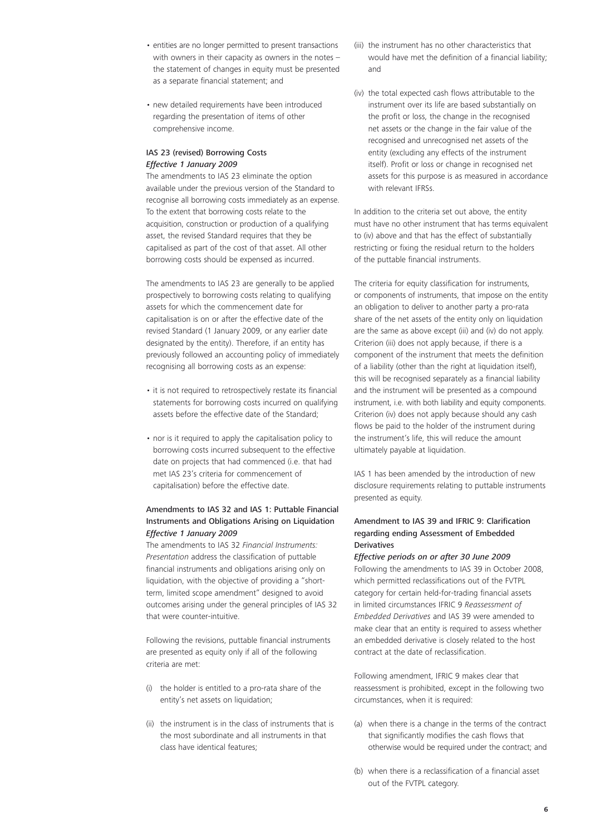- entities are no longer permitted to present transactions with owners in their capacity as owners in the notes – the statement of changes in equity must be presented as a separate financial statement; and
- new detailed requirements have been introduced regarding the presentation of items of other comprehensive income.

#### IAS 23 (revised) Borrowing Costs *Effective 1 January 2009*

The amendments to IAS 23 eliminate the option available under the previous version of the Standard to recognise all borrowing costs immediately as an expense. To the extent that borrowing costs relate to the acquisition, construction or production of a qualifying asset, the revised Standard requires that they be capitalised as part of the cost of that asset. All other borrowing costs should be expensed as incurred.

The amendments to IAS 23 are generally to be applied prospectively to borrowing costs relating to qualifying assets for which the commencement date for capitalisation is on or after the effective date of the revised Standard (1 January 2009, or any earlier date designated by the entity). Therefore, if an entity has previously followed an accounting policy of immediately recognising all borrowing costs as an expense:

- it is not required to retrospectively restate its financial statements for borrowing costs incurred on qualifying assets before the effective date of the Standard;
- nor is it required to apply the capitalisation policy to borrowing costs incurred subsequent to the effective date on projects that had commenced (i.e. that had met IAS 23's criteria for commencement of capitalisation) before the effective date.

#### Amendments to IAS 32 and IAS 1: Puttable Financial Instruments and Obligations Arising on Liquidation *Effective 1 January 2009*

The amendments to IAS 32 *Financial Instruments: Presentation* address the classification of puttable financial instruments and obligations arising only on liquidation, with the objective of providing a "shortterm, limited scope amendment" designed to avoid outcomes arising under the general principles of IAS 32 that were counter-intuitive.

Following the revisions, puttable financial instruments are presented as equity only if all of the following criteria are met:

- (i) the holder is entitled to a pro-rata share of the entity's net assets on liquidation;
- (ii) the instrument is in the class of instruments that is the most subordinate and all instruments in that class have identical features;
- (iii) the instrument has no other characteristics that would have met the definition of a financial liability; and
- (iv) the total expected cash flows attributable to the instrument over its life are based substantially on the profit or loss, the change in the recognised net assets or the change in the fair value of the recognised and unrecognised net assets of the entity (excluding any effects of the instrument itself). Profit or loss or change in recognised net assets for this purpose is as measured in accordance with relevant IFRSs.

In addition to the criteria set out above, the entity must have no other instrument that has terms equivalent to (iv) above and that has the effect of substantially restricting or fixing the residual return to the holders of the puttable financial instruments.

The criteria for equity classification for instruments, or components of instruments, that impose on the entity an obligation to deliver to another party a pro-rata share of the net assets of the entity only on liquidation are the same as above except (iii) and (iv) do not apply. Criterion (iii) does not apply because, if there is a component of the instrument that meets the definition of a liability (other than the right at liquidation itself), this will be recognised separately as a financial liability and the instrument will be presented as a compound instrument, i.e. with both liability and equity components. Criterion (iv) does not apply because should any cash flows be paid to the holder of the instrument during the instrument's life, this will reduce the amount ultimately payable at liquidation.

IAS 1 has been amended by the introduction of new disclosure requirements relating to puttable instruments presented as equity.

#### Amendment to IAS 39 and IFRIC 9: Clarification regarding ending Assessment of Embedded Derivatives

*Effective periods on or after 30 June 2009* Following the amendments to IAS 39 in October 2008, which permitted reclassifications out of the FVTPL category for certain held-for-trading financial assets in limited circumstances IFRIC 9 *Reassessment of Embedded Derivatives* and IAS 39 were amended to make clear that an entity is required to assess whether an embedded derivative is closely related to the host contract at the date of reclassification.

Following amendment, IFRIC 9 makes clear that reassessment is prohibited, except in the following two circumstances, when it is required:

- (a) when there is a change in the terms of the contract that significantly modifies the cash flows that otherwise would be required under the contract; and
- (b) when there is a reclassification of a financial asset out of the FVTPL category.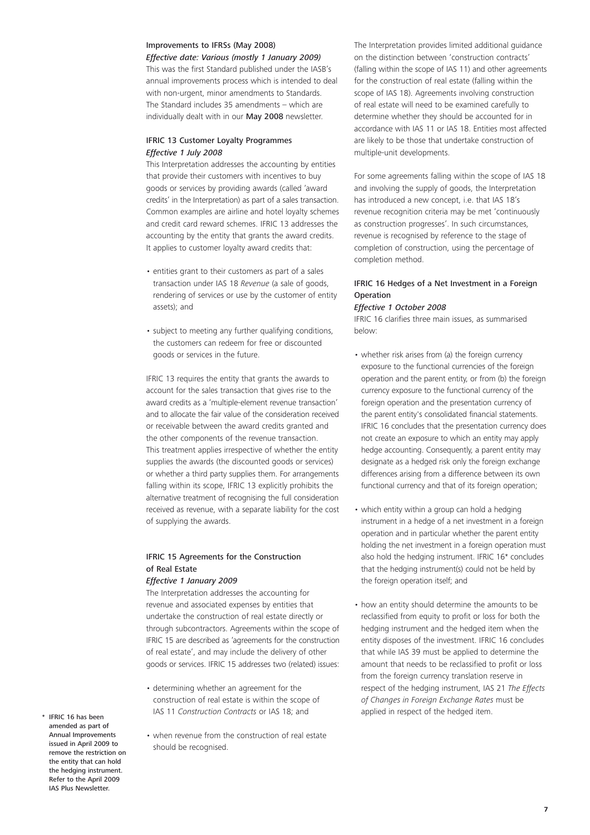#### Improvements to IFRSs (May 2008)

*Effective date: Various (mostly 1 January 2009)* This was the first Standard published under the IASB's annual improvements process which is intended to deal with non-urgent, minor amendments to Standards. The Standard includes 35 amendments – which are individually dealt with in our [May 2008](http://www.iasplus.com/iasplus/0805improvements.pdf) newsletter.

#### IFRIC 13 Customer Loyalty Programmes *Effective 1 July 2008*

This Interpretation addresses the accounting by entities that provide their customers with incentives to buy goods or services by providing awards (called 'award credits' in the Interpretation) as part of a sales transaction. Common examples are airline and hotel loyalty schemes and credit card reward schemes. IFRIC 13 addresses the accounting by the entity that grants the award credits. It applies to customer loyalty award credits that:

- entities grant to their customers as part of a sales transaction under IAS 18 *Revenue* (a sale of goods, rendering of services or use by the customer of entity assets); and
- subject to meeting any further qualifying conditions, the customers can redeem for free or discounted goods or services in the future.

IFRIC 13 requires the entity that grants the awards to account for the sales transaction that gives rise to the award credits as a 'multiple-element revenue transaction' and to allocate the fair value of the consideration received or receivable between the award credits granted and the other components of the revenue transaction. This treatment applies irrespective of whether the entity supplies the awards (the discounted goods or services) or whether a third party supplies them. For arrangements falling within its scope, IFRIC 13 explicitly prohibits the alternative treatment of recognising the full consideration received as revenue, with a separate liability for the cost of supplying the awards.

#### IFRIC 15 Agreements for the Construction of Real Estate

#### *Effective 1 January 2009*

The Interpretation addresses the accounting for revenue and associated expenses by entities that undertake the construction of real estate directly or through subcontractors. Agreements within the scope of IFRIC 15 are described as 'agreements for the construction of real estate', and may include the delivery of other goods or services. IFRIC 15 addresses two (related) issues:

- determining whether an agreement for the construction of real estate is within the scope of IAS 11 *Construction Contracts* or IAS 18; and
- when revenue from the construction of real estate should be recognised.

The Interpretation provides limited additional guidance on the distinction between 'construction contracts' (falling within the scope of IAS 11) and other agreements for the construction of real estate (falling within the scope of IAS 18). Agreements involving construction of real estate will need to be examined carefully to determine whether they should be accounted for in accordance with IAS 11 or IAS 18. Entities most affected are likely to be those that undertake construction of multiple-unit developments.

For some agreements falling within the scope of IAS 18 and involving the supply of goods, the Interpretation has introduced a new concept, i.e. that IAS 18's revenue recognition criteria may be met 'continuously as construction progresses'. In such circumstances, revenue is recognised by reference to the stage of completion of construction, using the percentage of completion method.

#### IFRIC 16 Hedges of a Net Investment in a Foreign Operation

#### *Effective 1 October 2008*

IFRIC 16 clarifies three main issues, as summarised below:

- whether risk arises from (a) the foreign currency exposure to the functional currencies of the foreign operation and the parent entity, or from (b) the foreign currency exposure to the functional currency of the foreign operation and the presentation currency of the parent entity's consolidated financial statements. IFRIC 16 concludes that the presentation currency does not create an exposure to which an entity may apply hedge accounting. Consequently, a parent entity may designate as a hedged risk only the foreign exchange differences arising from a difference between its own functional currency and that of its foreign operation;
- which entity within a group can hold a hedging instrument in a hedge of a net investment in a foreign operation and in particular whether the parent entity holding the net investment in a foreign operation must also hold the hedging instrument. IFRIC 16\* concludes that the hedging instrument(s) could not be held by the foreign operation itself; and
- how an entity should determine the amounts to be reclassified from equity to profit or loss for both the hedging instrument and the hedged item when the entity disposes of the investment. IFRIC 16 concludes that while IAS 39 must be applied to determine the amount that needs to be reclassified to profit or loss from the foreign currency translation reserve in respect of the hedging instrument, IAS 21 *The Effects of Changes in Foreign Exchange Rates* must be applied in respect of the hedged item.

\* IFRIC 16 has been amended as part of Annual Improvements issued in April 2009 to remove the restriction on the entity that can hold the hedging instrument. Refer to th[e April 2009](http://www.iasplus.com/iasplus/0904improvements.pdf) IAS Plus Newsletter.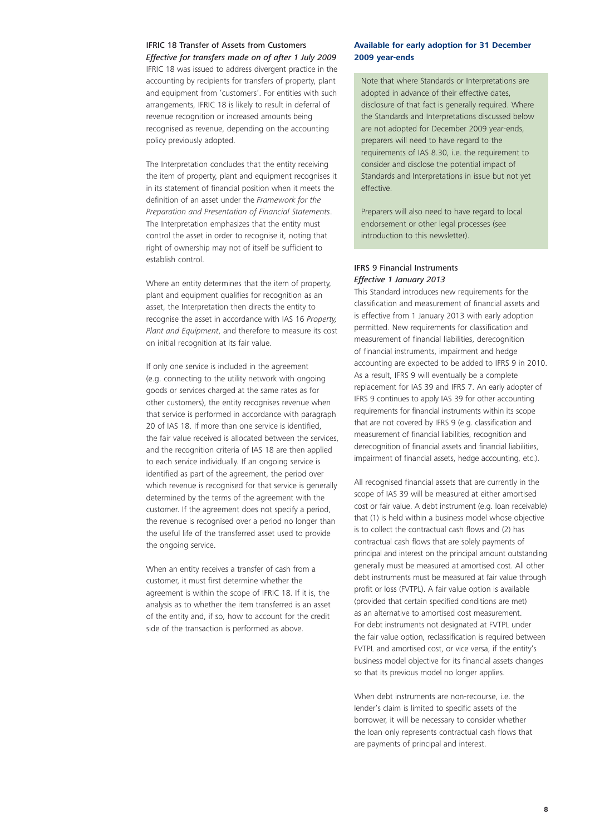#### IFRIC 18 Transfer of Assets from Customers

*Effective for transfers made on of after 1 July 2009* IFRIC 18 was issued to address divergent practice in the accounting by recipients for transfers of property, plant and equipment from 'customers'. For entities with such arrangements, IFRIC 18 is likely to result in deferral of revenue recognition or increased amounts being recognised as revenue, depending on the accounting policy previously adopted.

The Interpretation concludes that the entity receiving the item of property, plant and equipment recognises it in its statement of financial position when it meets the definition of an asset under the *Framework for the Preparation and Presentation of Financial Statements*. The Interpretation emphasizes that the entity must control the asset in order to recognise it, noting that right of ownership may not of itself be sufficient to establish control.

Where an entity determines that the item of property, plant and equipment qualifies for recognition as an asset, the Interpretation then directs the entity to recognise the asset in accordance with IAS 16 *Property, Plant and Equipment*, and therefore to measure its cost on initial recognition at its fair value.

If only one service is included in the agreement (e.g. connecting to the utility network with ongoing goods or services charged at the same rates as for other customers), the entity recognises revenue when that service is performed in accordance with paragraph 20 of IAS 18. If more than one service is identified, the fair value received is allocated between the services, and the recognition criteria of IAS 18 are then applied to each service individually. If an ongoing service is identified as part of the agreement, the period over which revenue is recognised for that service is generally determined by the terms of the agreement with the customer. If the agreement does not specify a period, the revenue is recognised over a period no longer than the useful life of the transferred asset used to provide the ongoing service.

When an entity receives a transfer of cash from a customer, it must first determine whether the agreement is within the scope of IFRIC 18. If it is, the analysis as to whether the item transferred is an asset of the entity and, if so, how to account for the credit side of the transaction is performed as above.

#### **Available for early adoption for 31 December 2009 year-ends**

Note that where Standards or Interpretations are adopted in advance of their effective dates, disclosure of that fact is generally required. Where the Standards and Interpretations discussed below are not adopted for December 2009 year-ends, preparers will need to have regard to the requirements of IAS 8.30, i.e. the requirement to consider and disclose the potential impact of Standards and Interpretations in issue but not yet effective.

Preparers will also need to have regard to local endorsement or other legal processes (see introduction to this newsletter).

#### IFRS 9 Financial Instruments *Effective 1 January 2013*

This Standard introduces new requirements for the classification and measurement of financial assets and is effective from 1 January 2013 with early adoption permitted. New requirements for classification and measurement of financial liabilities, derecognition of financial instruments, impairment and hedge accounting are expected to be added to IFRS 9 in 2010. As a result, IFRS 9 will eventually be a complete replacement for IAS 39 and IFRS 7. An early adopter of IFRS 9 continues to apply IAS 39 for other accounting requirements for financial instruments within its scope that are not covered by IFRS 9 (e.g. classification and measurement of financial liabilities, recognition and derecognition of financial assets and financial liabilities, impairment of financial assets, hedge accounting, etc.).

All recognised financial assets that are currently in the scope of IAS 39 will be measured at either amortised cost or fair value. A debt instrument (e.g. loan receivable) that (1) is held within a business model whose objective is to collect the contractual cash flows and (2) has contractual cash flows that are solely payments of principal and interest on the principal amount outstanding generally must be measured at amortised cost. All other debt instruments must be measured at fair value through profit or loss (FVTPL). A fair value option is available (provided that certain specified conditions are met) as an alternative to amortised cost measurement. For debt instruments not designated at FVTPL under the fair value option, reclassification is required between FVTPL and amortised cost, or vice versa, if the entity's business model objective for its financial assets changes so that its previous model no longer applies.

When debt instruments are non-recourse, i.e. the lender's claim is limited to specific assets of the borrower, it will be necessary to consider whether the loan only represents contractual cash flows that are payments of principal and interest.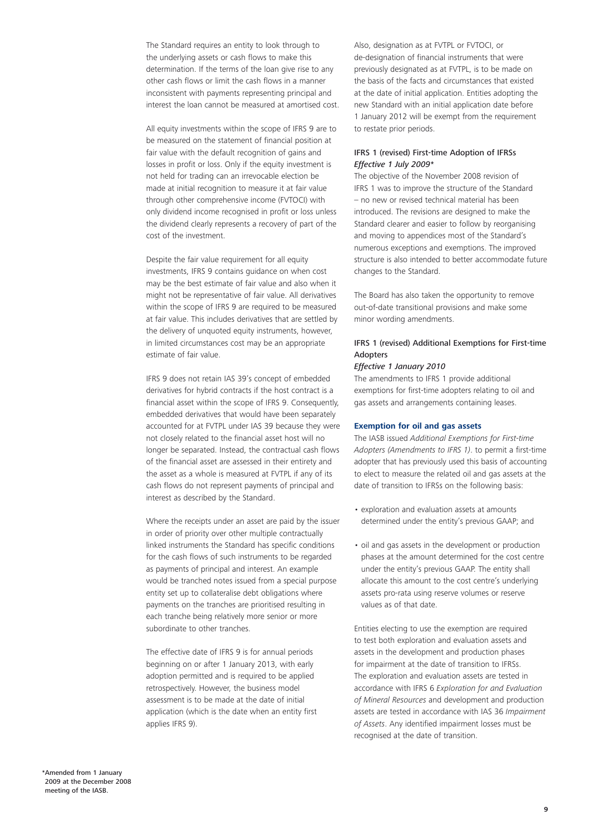The Standard requires an entity to look through to the underlying assets or cash flows to make this determination. If the terms of the loan give rise to any other cash flows or limit the cash flows in a manner inconsistent with payments representing principal and interest the loan cannot be measured at amortised cost.

All equity investments within the scope of IFRS 9 are to be measured on the statement of financial position at fair value with the default recognition of gains and losses in profit or loss. Only if the equity investment is not held for trading can an irrevocable election be made at initial recognition to measure it at fair value through other comprehensive income (FVTOCI) with only dividend income recognised in profit or loss unless the dividend clearly represents a recovery of part of the cost of the investment.

Despite the fair value requirement for all equity investments, IFRS 9 contains guidance on when cost may be the best estimate of fair value and also when it might not be representative of fair value. All derivatives within the scope of IFRS 9 are required to be measured at fair value. This includes derivatives that are settled by the delivery of unquoted equity instruments, however, in limited circumstances cost may be an appropriate estimate of fair value.

IFRS 9 does not retain IAS 39's concept of embedded derivatives for hybrid contracts if the host contract is a financial asset within the scope of IFRS 9. Consequently, embedded derivatives that would have been separately accounted for at FVTPL under IAS 39 because they were not closely related to the financial asset host will no longer be separated. Instead, the contractual cash flows of the financial asset are assessed in their entirety and the asset as a whole is measured at FVTPL if any of its cash flows do not represent payments of principal and interest as described by the Standard.

Where the receipts under an asset are paid by the issuer in order of priority over other multiple contractually linked instruments the Standard has specific conditions for the cash flows of such instruments to be regarded as payments of principal and interest. An example would be tranched notes issued from a special purpose entity set up to collateralise debt obligations where payments on the tranches are prioritised resulting in each tranche being relatively more senior or more subordinate to other tranches.

The effective date of IFRS 9 is for annual periods beginning on or after 1 January 2013, with early adoption permitted and is required to be applied retrospectively. However, the business model assessment is to be made at the date of initial application (which is the date when an entity first applies IFRS 9).

Also, designation as at FVTPL or FVTOCI, or de-designation of financial instruments that were previously designated as at FVTPL, is to be made on the basis of the facts and circumstances that existed at the date of initial application. Entities adopting the new Standard with an initial application date before 1 January 2012 will be exempt from the requirement to restate prior periods.

#### IFRS 1 (revised) First-time Adoption of IFRSs *Effective 1 July 2009\**

The objective of the November 2008 revision of IFRS 1 was to improve the structure of the Standard – no new or revised technical material has been introduced. The revisions are designed to make the Standard clearer and easier to follow by reorganising and moving to appendices most of the Standard's numerous exceptions and exemptions. The improved structure is also intended to better accommodate future changes to the Standard.

The Board has also taken the opportunity to remove out-of-date transitional provisions and make some minor wording amendments.

#### IFRS 1 (revised) Additional Exemptions for First-time Adopters

#### *Effective 1 January 2010*

The amendments to IFRS 1 provide additional exemptions for first-time adopters relating to oil and gas assets and arrangements containing leases.

#### **Exemption for oil and gas assets**

The IASB issued *Additional Exemptions for First-time Adopters (Amendments to IFRS 1)*. to permit a first-time adopter that has previously used this basis of accounting to elect to measure the related oil and gas assets at the date of transition to IFRSs on the following basis:

- exploration and evaluation assets at amounts determined under the entity's previous GAAP; and
- oil and gas assets in the development or production phases at the amount determined for the cost centre under the entity's previous GAAP. The entity shall allocate this amount to the cost centre's underlying assets pro-rata using reserve volumes or reserve values as of that date.

Entities electing to use the exemption are required to test both exploration and evaluation assets and assets in the development and production phases for impairment at the date of transition to IFRSs. The exploration and evaluation assets are tested in accordance with IFRS 6 *Exploration for and Evaluation of Mineral Resources* and development and production assets are tested in accordance with IAS 36 *Impairment of Assets*. Any identified impairment losses must be recognised at the date of transition.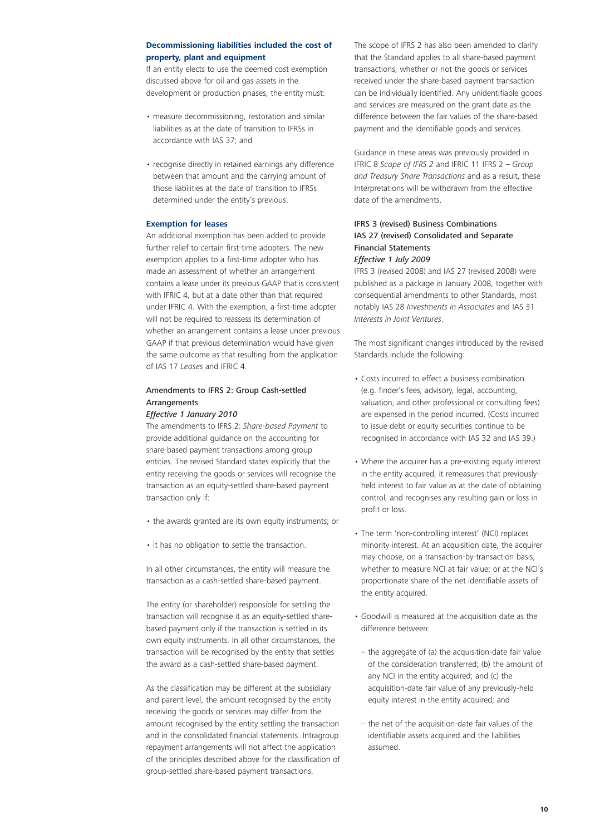#### **Decommissioning liabilities included the cost of property, plant and equipment**

If an entity elects to use the deemed cost exemption discussed above for oil and gas assets in the development or production phases, the entity must:

- measure decommissioning, restoration and similar liabilities as at the date of transition to IFRSs in accordance with IAS 37; and
- recognise directly in retained earnings any difference between that amount and the carrying amount of those liabilities at the date of transition to IFRSs determined under the entity's previous.

#### **Exemption for leases**

An additional exemption has been added to provide further relief to certain first-time adopters. The new exemption applies to a first-time adopter who has made an assessment of whether an arrangement contains a lease under its previous GAAP that is consistent with IFRIC 4, but at a date other than that required under IFRIC 4. With the exemption, a first-time adopter will not be required to reassess its determination of whether an arrangement contains a lease under previous GAAP if that previous determination would have given the same outcome as that resulting from the application of IAS 17 *Leases* and IFRIC 4.

#### Amendments to IFRS 2: Group Cash-settled Arrangements

#### *Effective 1 January 2010*

The amendments to IFRS 2: *Share-based Payment* to provide additional guidance on the accounting for share-based payment transactions among group entities. The revised Standard states explicitly that the entity receiving the goods or services will recognise the transaction as an equity-settled share-based payment transaction only if:

- the awards granted are its own equity instruments; or
- it has no obligation to settle the transaction.

In all other circumstances, the entity will measure the transaction as a cash-settled share-based payment.

The entity (or shareholder) responsible for settling the transaction will recognise it as an equity-settled sharebased payment only if the transaction is settled in its own equity instruments. In all other circumstances, the transaction will be recognised by the entity that settles the award as a cash-settled share-based payment.

As the classification may be different at the subsidiary and parent level, the amount recognised by the entity receiving the goods or services may differ from the amount recognised by the entity settling the transaction and in the consolidated financial statements. Intragroup repayment arrangements will not affect the application of the principles described above for the classification of group-settled share-based payment transactions.

The scope of IFRS 2 has also been amended to clarify that the Standard applies to all share-based payment transactions, whether or not the goods or services received under the share-based payment transaction can be individually identified. Any unidentifiable goods and services are measured on the grant date as the difference between the fair values of the share-based payment and the identifiable goods and services.

Guidance in these areas was previously provided in IFRIC 8 *Scope of IFRS 2* and IFRIC 11 IFRS 2 – *Group and Treasury Share Transactions* and as a result, these Interpretations will be withdrawn from the effective date of the amendments.

#### IFRS 3 (revised) Business Combinations IAS 27 (revised) Consolidated and Separate Financial Statements *Effective 1 July 2009*

IFRS 3 (revised 2008) and IAS 27 (revised 2008) were published as a package in January 2008, together with consequential amendments to other Standards, most notably IAS 28 *Investments in Associates* and IAS 31 *Interests in Joint Ventures*.

The most significant changes introduced by the revised Standards include the following:

- Costs incurred to effect a business combination (e.g. finder's fees, advisory, legal, accounting, valuation, and other professional or consulting fees) are expensed in the period incurred. (Costs incurred to issue debt or equity securities continue to be recognised in accordance with IAS 32 and IAS 39.)
- Where the acquirer has a pre-existing equity interest in the entity acquired, it remeasures that previouslyheld interest to fair value as at the date of obtaining control, and recognises any resulting gain or loss in profit or loss.
- The term 'non-controlling interest' (NCI) replaces minority interest. At an acquisition date, the acquirer may choose, on a transaction-by-transaction basis, whether to measure NCI at fair value; or at the NCI's proportionate share of the net identifiable assets of the entity acquired.
- Goodwill is measured at the acquisition date as the difference between:
	- the aggregate of (a) the acquisition-date fair value of the consideration transferred; (b) the amount of any NCI in the entity acquired; and (c) the acquisition-date fair value of any previously-held equity interest in the entity acquired; and
	- the net of the acquisition-date fair values of the identifiable assets acquired and the liabilities assumed.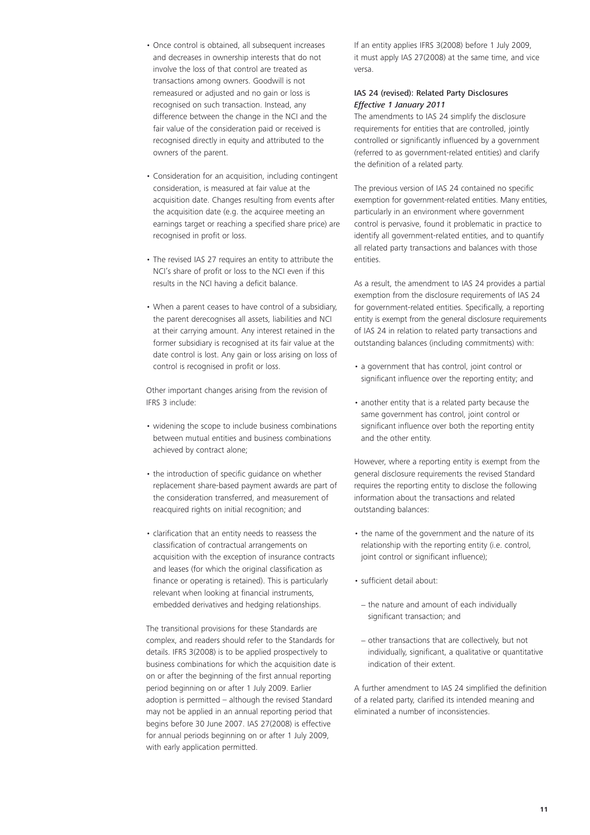- Once control is obtained, all subsequent increases and decreases in ownership interests that do not involve the loss of that control are treated as transactions among owners. Goodwill is not remeasured or adjusted and no gain or loss is recognised on such transaction. Instead, any difference between the change in the NCI and the fair value of the consideration paid or received is recognised directly in equity and attributed to the owners of the parent.
- Consideration for an acquisition, including contingent consideration, is measured at fair value at the acquisition date. Changes resulting from events after the acquisition date (e.g. the acquiree meeting an earnings target or reaching a specified share price) are recognised in profit or loss.
- The revised IAS 27 requires an entity to attribute the NCI's share of profit or loss to the NCI even if this results in the NCI having a deficit balance.
- When a parent ceases to have control of a subsidiary, the parent derecognises all assets, liabilities and NCI at their carrying amount. Any interest retained in the former subsidiary is recognised at its fair value at the date control is lost. Any gain or loss arising on loss of control is recognised in profit or loss.

Other important changes arising from the revision of IFRS 3 include:

- widening the scope to include business combinations between mutual entities and business combinations achieved by contract alone;
- the introduction of specific guidance on whether replacement share-based payment awards are part of the consideration transferred, and measurement of reacquired rights on initial recognition; and
- clarification that an entity needs to reassess the classification of contractual arrangements on acquisition with the exception of insurance contracts and leases (for which the original classification as finance or operating is retained). This is particularly relevant when looking at financial instruments, embedded derivatives and hedging relationships.

The transitional provisions for these Standards are complex, and readers should refer to the Standards for details. IFRS 3(2008) is to be applied prospectively to business combinations for which the acquisition date is on or after the beginning of the first annual reporting period beginning on or after 1 July 2009. Earlier adoption is permitted – although the revised Standard may not be applied in an annual reporting period that begins before 30 June 2007. IAS 27(2008) is effective for annual periods beginning on or after 1 July 2009, with early application permitted.

If an entity applies IFRS 3(2008) before 1 July 2009, it must apply IAS 27(2008) at the same time, and vice versa.

#### IAS 24 (revised): Related Party Disclosures *Effective 1 January 2011*

The amendments to IAS 24 simplify the disclosure requirements for entities that are controlled, jointly controlled or significantly influenced by a government (referred to as government-related entities) and clarify the definition of a related party.

The previous version of IAS 24 contained no specific exemption for government-related entities. Many entities, particularly in an environment where government control is pervasive, found it problematic in practice to identify all government-related entities, and to quantify all related party transactions and balances with those entities.

As a result, the amendment to IAS 24 provides a partial exemption from the disclosure requirements of IAS 24 for government-related entities. Specifically, a reporting entity is exempt from the general disclosure requirements of IAS 24 in relation to related party transactions and outstanding balances (including commitments) with:

- a government that has control, joint control or significant influence over the reporting entity; and
- another entity that is a related party because the same government has control, joint control or significant influence over both the reporting entity and the other entity.

However, where a reporting entity is exempt from the general disclosure requirements the revised Standard requires the reporting entity to disclose the following information about the transactions and related outstanding balances:

- the name of the government and the nature of its relationship with the reporting entity (i.e. control, joint control or significant influence);
- sufficient detail about:
	- − the nature and amount of each individually significant transaction; and
- − other transactions that are collectively, but not individually, significant, a qualitative or quantitative indication of their extent.

A further amendment to IAS 24 simplified the definition of a related party, clarified its intended meaning and eliminated a number of inconsistencies.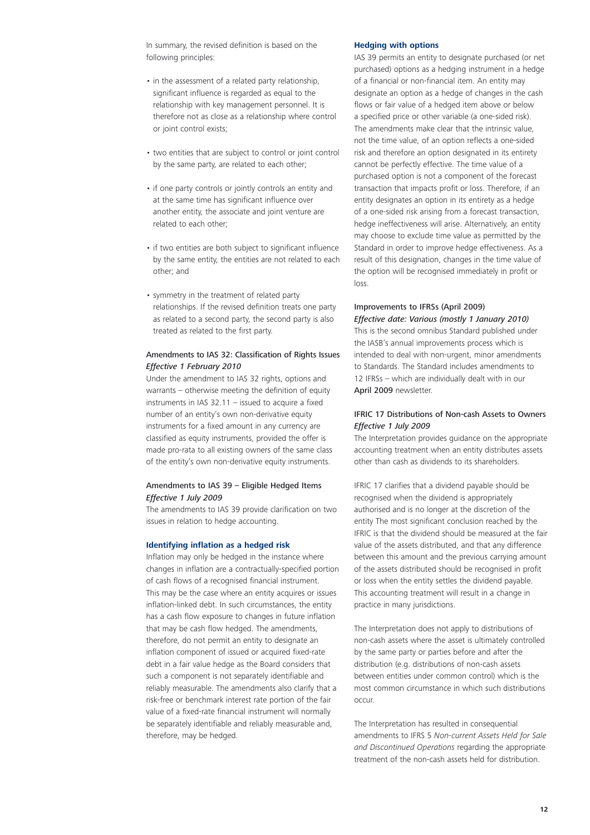In summary, the revised definition is based on the following principles:

- in the assessment of a related party relationship, significant influence is regarded as equal to the relationship with key management personnel. It is therefore not as close as a relationship where control or joint control exists;
- two entities that are subject to control or joint control by the same party, are related to each other;
- if one party controls or jointly controls an entity and at the same time has significant influence over another entity, the associate and joint venture are related to each other;
- if two entities are both subject to significant influence by the same entity, the entities are not related to each other; and
- symmetry in the treatment of related party relationships. If the revised definition treats one party as related to a second party, the second party is also treated as related to the first party.

#### Amendments to IAS 32: Classification of Rights Issues *Effective 1 February 2010*

Under the amendment to IAS 32 rights, options and warrants – otherwise meeting the definition of equity instruments in IAS 32.11 – issued to acquire a fixed number of an entity's own non-derivative equity instruments for a fixed amount in any currency are classified as equity instruments, provided the offer is made pro-rata to all existing owners of the same class of the entity's own non-derivative equity instruments.

#### Amendments to IAS 39 – Eligible Hedged Items *Effective 1 July 2009*

The amendments to IAS 39 provide clarification on two issues in relation to hedge accounting.

#### **Identifying inflation as a hedged risk**

Inflation may only be hedged in the instance where changes in inflation are a contractually-specified portion of cash flows of a recognised financial instrument. This may be the case where an entity acquires or issues inflation-linked debt. In such circumstances, the entity has a cash flow exposure to changes in future inflation that may be cash flow hedged. The amendments, therefore, do not permit an entity to designate an inflation component of issued or acquired fixed-rate debt in a fair value hedge as the Board considers that such a component is not separately identifiable and reliably measurable. The amendments also clarify that a risk-free or benchmark interest rate portion of the fair value of a fixed-rate financial instrument will normally be separately identifiable and reliably measurable and, therefore, may be hedged.

#### **Hedging with options**

IAS 39 permits an entity to designate purchased (or net purchased) options as a hedging instrument in a hedge of a financial or non-financial item. An entity may designate an option as a hedge of changes in the cash flows or fair value of a hedged item above or below a specified price or other variable (a one-sided risk). The amendments make clear that the intrinsic value, not the time value, of an option reflects a one-sided risk and therefore an option designated in its entirety cannot be perfectly effective. The time value of a purchased option is not a component of the forecast transaction that impacts profit or loss. Therefore, if an entity designates an option in its entirety as a hedge of a one-sided risk arising from a forecast transaction, hedge ineffectiveness will arise. Alternatively, an entity may choose to exclude time value as permitted by the Standard in order to improve hedge effectiveness. As a result of this designation, changes in the time value of the option will be recognised immediately in profit or loss.

#### Improvements to IFRSs (April 2009) *Effective date: Various (mostly 1 January 2010)*

This is the second omnibus Standard published under the IASB's annual improvements process which is intended to deal with non-urgent, minor amendments to Standards. The Standard includes amendments to 12 IFRSs – which are individually dealt with in our [April 2009](http://www.iasplus.com/iasplus/0904improvements.pdf) newsletter.

#### IFRIC 17 Distributions of Non-cash Assets to Owners *Effective 1 July 2009*

The Interpretation provides guidance on the appropriate accounting treatment when an entity distributes assets other than cash as dividends to its shareholders.

IFRIC 17 clarifies that a dividend payable should be recognised when the dividend is appropriately authorised and is no longer at the discretion of the entity The most significant conclusion reached by the IFRIC is that the dividend should be measured at the fair value of the assets distributed, and that any difference between this amount and the previous carrying amount of the assets distributed should be recognised in profit or loss when the entity settles the dividend payable. This accounting treatment will result in a change in practice in many jurisdictions.

The Interpretation does not apply to distributions of non-cash assets where the asset is ultimately controlled by the same party or parties before and after the distribution (e.g. distributions of non-cash assets between entities under common control) which is the most common circumstance in which such distributions occur.

The Interpretation has resulted in consequential amendments to IFRS 5 *Non-current Assets Held for Sale and Discontinued Operations* regarding the appropriate treatment of the non-cash assets held for distribution.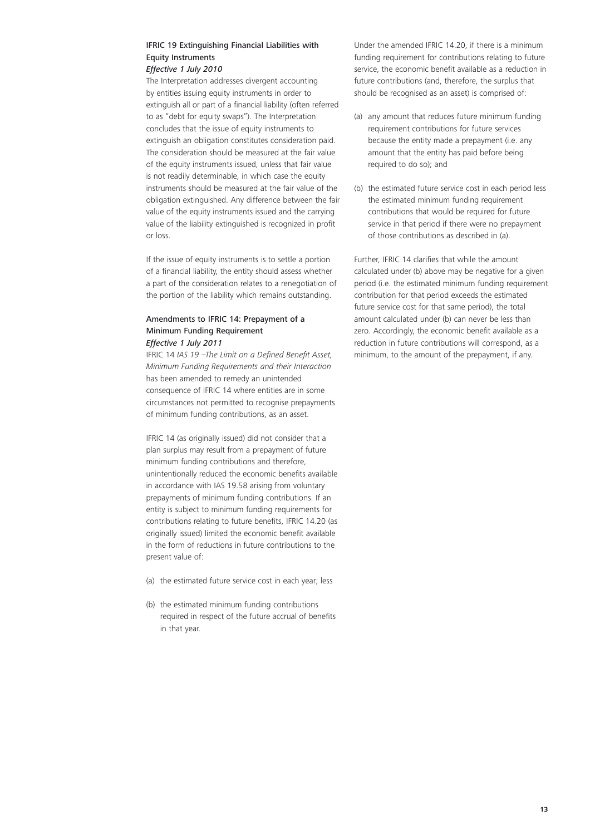#### IFRIC 19 Extinguishing Financial Liabilities with Equity Instruments

#### *Effective 1 July 2010*

The Interpretation addresses divergent accounting by entities issuing equity instruments in order to extinguish all or part of a financial liability (often referred to as "debt for equity swaps"). The Interpretation concludes that the issue of equity instruments to extinguish an obligation constitutes consideration paid. The consideration should be measured at the fair value of the equity instruments issued, unless that fair value is not readily determinable, in which case the equity instruments should be measured at the fair value of the obligation extinguished. Any difference between the fair value of the equity instruments issued and the carrying value of the liability extinguished is recognized in profit or loss.

If the issue of equity instruments is to settle a portion of a financial liability, the entity should assess whether a part of the consideration relates to a renegotiation of the portion of the liability which remains outstanding.

#### Amendments to IFRIC 14: Prepayment of a Minimum Funding Requirement *Effective 1 July 2011*

IFRIC 14 *IAS 19 –The Limit on a Defined Benefit Asset, Minimum Funding Requirements and their Interaction* has been amended to remedy an unintended consequence of IFRIC 14 where entities are in some circumstances not permitted to recognise prepayments of minimum funding contributions, as an asset.

IFRIC 14 (as originally issued) did not consider that a plan surplus may result from a prepayment of future minimum funding contributions and therefore, unintentionally reduced the economic benefits available in accordance with IAS 19.58 arising from voluntary prepayments of minimum funding contributions. If an entity is subject to minimum funding requirements for contributions relating to future benefits, IFRIC 14.20 (as originally issued) limited the economic benefit available in the form of reductions in future contributions to the present value of:

- (a) the estimated future service cost in each year; less
- (b) the estimated minimum funding contributions required in respect of the future accrual of benefits in that year.

Under the amended IFRIC 14.20, if there is a minimum funding requirement for contributions relating to future service, the economic benefit available as a reduction in future contributions (and, therefore, the surplus that should be recognised as an asset) is comprised of:

- (a) any amount that reduces future minimum funding requirement contributions for future services because the entity made a prepayment (i.e. any amount that the entity has paid before being required to do so); and
- (b) the estimated future service cost in each period less the estimated minimum funding requirement contributions that would be required for future service in that period if there were no prepayment of those contributions as described in (a).

Further, IFRIC 14 clarifies that while the amount calculated under (b) above may be negative for a given period (i.e. the estimated minimum funding requirement contribution for that period exceeds the estimated future service cost for that same period), the total amount calculated under (b) can never be less than zero. Accordingly, the economic benefit available as a reduction in future contributions will correspond, as a minimum, to the amount of the prepayment, if any.